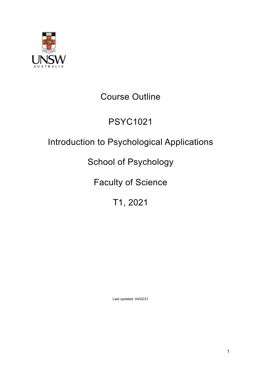

# Course Outline

# PSYC1021

# Introduction to Psychological Applications

# School of Psychology

# Faculty of Science

# T1, 2021

Last updated: 04/02/21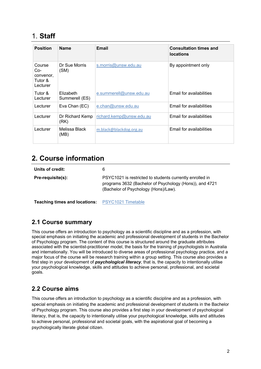# 1. **Staff**

| <b>Position</b>                                   | <b>Name</b>                 | Email                    | <b>Consultation times and</b><br><b>locations</b> |
|---------------------------------------------------|-----------------------------|--------------------------|---------------------------------------------------|
| Course<br>Co-<br>convenor,<br>Tutor &<br>Lecturer | Dr Sue Morris<br>(SM)       | s.morris@unsw.edu.au     | By appointment only                               |
| Tutor &<br>Lecturer                               | Elizabeth<br>Summerell (ES) | e.summerell@unsw.edu.au  | Email for availabilities                          |
| Lecturer                                          | Eva Chan (EC)               | e.chan@unsw.edu.au       | Email for availabilities                          |
| Lecturer                                          | Dr Richard Kemp<br>(RK)     | richard.kemp@unsw.edu.au | Email for availabilities                          |
| Lecturer                                          | Melissa Black<br>(MB)       | m.black@blackdog.org.au  | Email for availabilities                          |

## **2. Course information**

| Units of credit:  | 6                                                                                                                                                           |
|-------------------|-------------------------------------------------------------------------------------------------------------------------------------------------------------|
| Pre-requisite(s): | PSYC1021 is restricted to students currently enrolled in<br>programs 3632 (Bachelor of Psychology (Hons)), and 4721<br>(Bachelor of Psychology (Hons)/Law). |

**Teaching times and locations:** PSYC1021 Timetable

## **2.1 Course summary**

This course offers an introduction to psychology as a scientific discipline and as a profession, with special emphasis on initiating the academic and professional development of students in the Bachelor of Psychology program. The content of this course is structured around the graduate attributes associated with the scientist-practitioner model, the basis for the training of psychologists in Australia and internationally. You will be introduced to diverse areas of professional psychology practice, and a major focus of the course will be research training within a group setting. This course also provides a first step in your development of *psychological literacy*, that is, the capacity to intentionally utilise your psychological knowledge, skills and attitudes to achieve personal, professional, and societal goals.

## **2.2 Course aims**

This course offers an introduction to psychology as a scientific discipline and as a profession, with special emphasis on initiating the academic and professional development of students in the Bachelor of Psychology program. This course also provides a first step in your development of psychological literacy, that is, the capacity to intentionally utilise your psychological knowledge, skills and attitudes to achieve personal, professional and societal goals, with the aspirational goal of becoming a psychologically literate global citizen.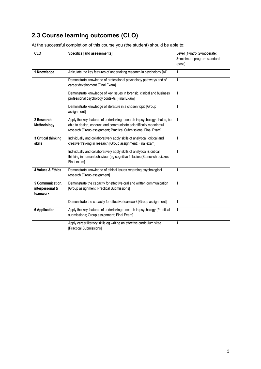## **2.3 Course learning outcomes (CLO)**

| $\overline{c}$                                  | <b>Specifics [and assessments]</b>                                                                                                                                                                                | Level (1=intro; 2=moderate;<br>3=minimum program standard<br>(pass) |
|-------------------------------------------------|-------------------------------------------------------------------------------------------------------------------------------------------------------------------------------------------------------------------|---------------------------------------------------------------------|
| 1 Knowledge                                     | Articulate the key features of undertaking research in psychology [All]                                                                                                                                           | 1                                                                   |
|                                                 | Demonstrate knowledge of professional psychology pathways and of<br>career development [Final Exam]                                                                                                               | 1                                                                   |
|                                                 | Demonstrate knowledge of key issues in forensic, clinical and business<br>professional psychology contexts [Final Exam]                                                                                           | 1                                                                   |
|                                                 | Demonstrate knowledge of literature in a chosen topic [Group<br>assignment]                                                                                                                                       | 1                                                                   |
| 2 Research<br>Methodology                       | Apply the key features of undertaking research in psychology: that is, be<br>able to design, conduct, and communicate scientifically meaningful<br>research [Group assignment; Practical Submissions, Final Exam] | $\mathbf{1}$                                                        |
| 3 Critical thinking<br>skills                   | Individually and collaboratively apply skills of analytical, critical and<br>creative thinking in research [Group assignment; Final exam]                                                                         | 1                                                                   |
|                                                 | Individually and collaboratively apply skills of analytical & critical<br>thinking in human behaviour (eg cognitive fallacies)[Stanovich quizzes;<br>Final exam]                                                  | 1                                                                   |
| 4 Values & Ethics                               | Demonstrate knowledge of ethical issues regarding psychological<br>research [Group assignment]                                                                                                                    | 1                                                                   |
| 5 Communication,<br>interpersonal &<br>teamwork | Demonstrate the capacity for effective oral and written communication<br>[Group assignment, Practical Submissions]                                                                                                | 1                                                                   |
|                                                 | Demonstrate the capacity for effective teamwork [Group assignment]                                                                                                                                                | 1                                                                   |
| <b>6 Application</b>                            | Apply the key features of undertaking research in psychology [Practical<br>submissions; Group assignment; Final Exam]                                                                                             | 1                                                                   |
|                                                 | Apply career literacy skills eg writing an effective curriculum vitae<br>[Practical Submissions]                                                                                                                  | 1                                                                   |

At the successful completion of this course you (the student) should be able to: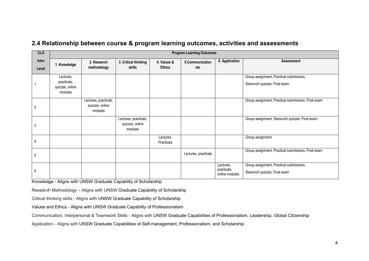| <b>CLO</b>     | <b>Program Learning Outcomes</b>                       |                                                     |                                                     |                              |                        |                                            |                                                                           |
|----------------|--------------------------------------------------------|-----------------------------------------------------|-----------------------------------------------------|------------------------------|------------------------|--------------------------------------------|---------------------------------------------------------------------------|
| Intro<br>Level | 1. Knowledge                                           | 2. Research<br>methodology                          | 3. Critical thinking<br><b>skills</b>               | 4. Values &<br><b>Ethics</b> | 5.Communication<br>etc | 6. Application                             | <b>Assessment</b>                                                         |
|                | Lectures,<br>practicals,<br>quizzes, online<br>modules |                                                     |                                                     |                              |                        |                                            | Group assignment, Practical submissions,<br>Stanovich quizzes, Final exam |
| 2              |                                                        | Lectures, practicals,<br>quizzes, online<br>modules |                                                     |                              |                        |                                            | Group assignment, Practical submissions, Final exam                       |
| 3              |                                                        |                                                     | Lectures, practicals,<br>quizzes, online<br>modules |                              |                        |                                            | Group assignment, Stanovich quizzes, Final exam                           |
| 4              |                                                        |                                                     |                                                     | Lectures,<br>Practicals      |                        |                                            | Group assignment                                                          |
| 5              |                                                        |                                                     |                                                     |                              | Lectures, practicals   |                                            | Group assignment, Practical submissions, Final exam                       |
| 6              |                                                        |                                                     |                                                     |                              |                        | Lectures,<br>practicals,<br>online modules | Group assignment, Practical submissions,<br>Stanovich quizzes, Final exam |

### **2.4 Relationship between course & program learning outcomes, activities and assessments**

Knowledge - Aligns with UNSW Graduate Capability of Scholarship

Research Methodology – Aligns with UNSW Graduate Capability of Scholarship

Critical thinking skills - Aligns with UNSW Graduate Capability of Scholarship

Values and Ethics - Aligns with UNSW Graduate Capability of Professionalism

Communication, Interpersonal & Teamwork Skills - Aligns with UNSW Graduate Capabilities of Professionalism, Leadership, Global Citizenship

Application - Aligns with UNSW Graduate Capabilities of Self-management, Professionalism, and Scholarship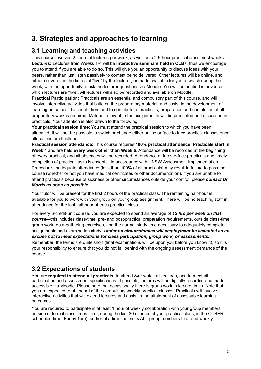# **3. Strategies and approaches to learning**

### **3.1 Learning and teaching activities**

This course involves 2 hours of lectures per week, as well as a 2.5-hour practical class most weeks. **Lectures:** Lectures from Weeks 1-4 will be **interactive seminars held in CLB7**, thus we encourage you to attend if you are able to do so. This will give you an opportunity to discuss ideas with your peers, rather than just listen passively to content being delivered. Other lectures will be online, and either delivered in the time slot "live" by the lecturer, or made available for you to watch during the week, with the opportunity to ask the lecturer questions via Moodle. You will be notified in advance which lectures are "live". All lectures will also be recorded and available on Moodle.

**Practical Participation:** Practicals are an essential and compulsory part of this course, and will involve interactive activities that build on the preparatory material, and assist in the development of learning outcomes. To benefit from and to contribute to practicals, preparation and completion of all preparatory work is required. Material relevant to the assignments will be presented and discussed in practicals. Your attention is also drawn to the following:

**Your practical session time**: You must attend the practical session to which you have been allocated. It will not be possible to switch or change either online or face to face practical classes once allocations are finalised.

**Practical session attendance:** This course requires **100% practical attendance**. **Practicals start in Week 1** and are held **every week other than Week 6**. Attendance will be recorded at the beginning of every practical, and all absences will be recorded. Attendance at face-to-face practicals and timely completion of practical tasks is essential in accordance with UNSW Assessment Implementation Procedure. Inadequate attendance (less than 100% of all practicals) may result in failure to pass the course (whether or not you have medical certificates or other documentation). If you are unable to attend practicals because of sickness or other circumstances outside your control, please *contact Dr Morris as soon as possible*.

Your tutor will be present for the first 2 hours of the practical class. The remaining half-hour is available for you to work with your group on your group assignment. There will be no teaching staff in attendance for the last half hour of each practical class.

For every 6-credit-unit course, you are expected to spend an average of *12 hrs per week on that course*—this includes class-time, pre- and post-practical preparation requirements, outside class-time group work, data-gathering exercises, and the normal study time necessary to adequately complete assignments and examination study. *Under no circumstances will employment be accepted as an excuse not to meet expectations for class participation, group work, or assessments.*  Remember, the terms are quite short (final examinations will be upon you before you know it), so it is your responsibility to ensure that you do not fall behind with the ongoing assessment demands of the course.

## **3.2 Expectations of students**

You are **required to attend all practicals**, to attend &/or watch all lectures, and to meet all participation and assessment specifications. If possible, lectures will be digitally recorded and made accessible via Moodle. Please note that occasionally there is group work in lecture times. Note that you are expected to attend **all** of the compulsory weekly practical classes. Practicals will involve interactive activities that will extend lectures and assist in the attainment of assessable learning outcomes.

You are required to participate in at least 1 hour of weekly collaboration with your group members outside of formal class times – i.e., during the last 30 minutes of your practical class, in the OTHER scheduled time (Friday 1pm), and/or at a time that suits ALL group members to attend weekly.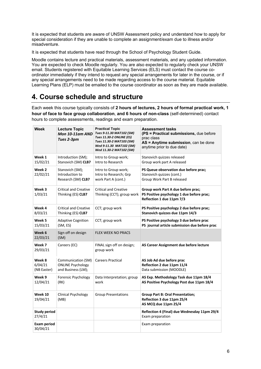It is expected that students are aware of UNSW Assessment policy and understand how to apply for special consideration if they are unable to complete an assignment/exam due to illness and/or misadventure.

It is expected that students have read through the School of Psychology Student Guide.

Moodle contains lecture and practical materials, assessment materials, and any updated information. You are expected to check Moodle regularly. You are also expected to regularly check your UNSW email. Students registered with Equitable Learning Services (ELS) must contact the course coordinator immediately if they intend to request any special arrangements for later in the course, or if any special arrangements need to be made regarding access to the course material. Equitable Learning Plans (ELP) must be emailed to the course coordinator as soon as they are made available.

# **4. Course schedule and structure**

Each week this course typically consists of **2 hours of lectures, 2 hours of formal practical work, 1 hour of face to face group collaboration**, **and 6 hours of non-class** (self-determined) contact hours to complete assessments, readings and exam preparation.

| Week                             | <b>Lecture Topic</b><br>Mon 10-11am AND<br>Tues 2-3pm                | <b>Practical Topic</b><br>Tues 9-11.30 MAT102 (SM)<br>Tues 11.30-2 ONLINE (ES)<br>Tues 11.30-2 MAT103 (SM)<br>Wed 9-11.30 MAT102 (SM)<br>Wed 11.30-2 MAT102 (SM) | <b>Assessment tasks</b><br>(PS = Practical submissions, due before<br>prac class<br>AS = Anytime submission, can be done<br>anytime prior to due date) |
|----------------------------------|----------------------------------------------------------------------|------------------------------------------------------------------------------------------------------------------------------------------------------------------|--------------------------------------------------------------------------------------------------------------------------------------------------------|
| Week 1<br>15/02/21               | Introduction (SM);<br>Stanovich (SM) CLB7                            | Intro to Group work;<br>Intro to Research                                                                                                                        | Stanovich quizzes released<br>Group work part A released                                                                                               |
| Week 2<br>22/02/21               | Stanovich (SM);<br>Introduction to<br>Research (SM) CLB7             | Intro to Group work;<br>Intro to Research; Grp<br>work Part A (cont.)                                                                                            | PS Queue observation due before prac;<br>Stanovich quizzes (cont.)<br>Group Work Part B released                                                       |
| Week 3<br>1/03/21                | <b>Critical and Creative</b><br>Thinking (ES) CLB7                   | <b>Critical and Creative</b><br>Thinking (CCT); group work                                                                                                       | Group work Part A due before prac;<br>PS Positive psychology 1 due before prac;<br>Reflection 1 due 11pm 7/3                                           |
| Week 4<br>8/03/21                | <b>Critical and Creative</b><br>Thinking (ES) CLB7                   | CCT; group work                                                                                                                                                  | PS Positive psychology 2 due before prac;<br>Stanovich quizzes due 11pm 14/3                                                                           |
| Week 5<br>15/03/21               | <b>Adaptive Cognition</b><br>(SM, ES)                                | CCT; group work                                                                                                                                                  | PS Positive psychology 3 due before prac<br>PS journal article submission due before prac                                                              |
| Week 6<br>22/03/21               | Sign off on design<br>(SM)                                           | <b>FLEX WEEK NO PRACS</b>                                                                                                                                        |                                                                                                                                                        |
| Week 7<br>29/03/21               | Careers (EC)                                                         | FINAL sign off on design;<br>group work                                                                                                                          | AS Career Assignment due before lecture                                                                                                                |
| Week 8<br>6/04/21<br>(NB Easter) | Communication (SM)<br><b>ONLINE Psychology</b><br>and Business (LM); | <b>Careers Practical</b>                                                                                                                                         | AS Job Ad due before prac<br>Reflection 2 due 11pm 11/4<br>Data submission (MOODLE)                                                                    |
| Week 9<br>12/04/21               | Forensic Psychology<br>(RK)                                          | Data Interpretation; group<br>work                                                                                                                               | AS Exp. Methodology Task due 11pm 18/4<br>AS Positive Psychology Post due 11pm 18/4                                                                    |
| Week 10<br>19/04/21              | Clinical Psychology<br>(MB)                                          | <b>Group Presentations</b>                                                                                                                                       | <b>Group Part B: Oral Presentation;</b><br>Reflection 3 due 11pm 25/4<br>AS MCQ due 11pm 25/4                                                          |
| Study period<br>27/4/21          |                                                                      |                                                                                                                                                                  | Reflection 4 (Final) due Wednesday 11pm 29/4<br>Exam preparation                                                                                       |
| <b>Exam period</b><br>30/04/21   |                                                                      |                                                                                                                                                                  | Exam preparation                                                                                                                                       |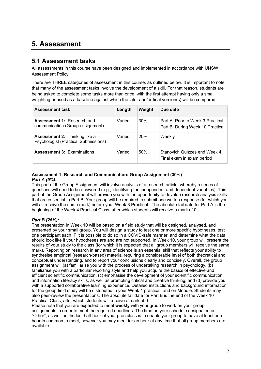# **5. Assessment**

### **5.1 Assessment tasks**

All assessments in this course have been designed and implemented in accordance with UNSW Assessment Policy.

There are THREE categories of assessment in this course, as outlined below. It is important to note that many of the assessment tasks involve the development of a skill. For that reason, students are being asked to complete some tasks more than once, with the first attempt having only a small weighting or used as a baseline against which the later and/or final version(s) will be compared.

| <b>Assessment task</b>                                                              | Length | Weight | Due date                                                              |
|-------------------------------------------------------------------------------------|--------|--------|-----------------------------------------------------------------------|
| <b>Assessment 1: Research and</b><br>communication (Group assignment)               | Varied | 30%    | Part A: Prior to Week 3 Practical<br>Part B: During Week 10 Practical |
| <b>Assessment 2: Thinking like a</b><br><b>Psychologist (Practical Submissions)</b> | Varied | 20%    | Weekly                                                                |
| <b>Assessment 3: Examinations</b>                                                   | Varied | 50%    | Stanovich Quizzes end Week 4<br>Final exam in exam period             |

#### **Assessment 1- Research and Communication: Group Assignment (30%)**  *Part A (5%):*

This part of the Group Assignment will involve analysis of a research article, whereby a series of questions will need to be answered (e.g., identifying the independent and dependent variables). This part of the Group Assignment will provide you with the opportunity to develop research analysis skills that are essential to Part B. Your group will be required to submit one written response (for which you will all receive the same mark) before your Week 3 Practical. The absolute fail date for Part A is the beginning of the Week 4 Practical Class, after which students will receive a mark of 0.

#### *Part B (25%):*

The presentation in Week 10 will be based on a field study that will be designed, analysed, and presented by your small group. You will design a study to test one or more specific hypotheses, test one participant each IF it is possible to do so in a COVID-safe manner, and determine what the data should look like if your hypotheses are and are not supported. In Week 10, your group will present the results of your study to the class (for which it is expected that all group members will receive the same mark). Reporting on research in any area of science is an essential skill that reflects your ability to synthesise empirical (research-based) material requiring a considerable level of both theoretical and conceptual understanding, and to report your conclusions clearly and concisely. Overall, the group assignment will (a) familiarise you with the process of undertaking research in psychology, (b) familiarise you with a particular reporting style and help you acquire the basics of effective and efficient scientific communication, (c) emphasise the development of your scientific communication and information literacy skills, as well as promoting critical and creative thinking, and (d) provide you with a supported collaborative learning experience. Detailed instructions and background information for the group field study will be distributed in your Week 1 practical, and on Moodle. Students may also peer-review the presentations. The absolute fail date for Part B is the end of the Week 10 Practical Class, after which students will receive a mark of 0.

Please note that you are expected to meet **weekly** with your group to work on your group assignments in order to meet the required deadlines. The time on your schedule designated as "Other", as well as the last half-hour of your prac class is to enable your group to have at least one hour in common to meet, however you may meet for an hour at any time that all group members are available.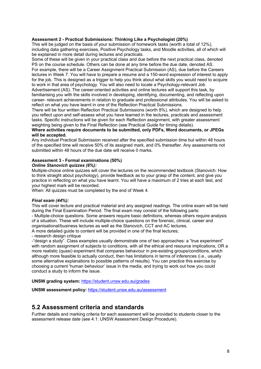#### **Assessment 2 - Practical Submissions: Thinking Like a Psychologist (20%)**

This will be judged on the basis of your submission of homework tasks (worth a total of 12%), including data gathering exercises, Positive Psychology tasks, and Moodle activities, all of which will be explained in more detail during lectures and practicals.

Some of these will be given in your practical class and due before the next practical class, denoted PS on the course schedule. Others can be done at any time before the due date, denoted AS. For example, there will be a Career Assignment Practical Submission (AS), due before the Careers lectures in Week 7. You will have to prepare a resume and a 150-word expression of interest to apply for the job. This is designed as a trigger to help you think about what skills you would need to acquire to work in that area of psychology. You will also need to locate a Psychology-relevant Job

Advertisement (AS). The career-oriented activities and online lectures will support this task, by familiarising you with the skills involved in developing, identifying, documenting, and reflecting upon career- relevant achievements in relation to graduate and professional attributes. You will be asked to reflect on what you have learnt in one of the Reflection Practical Submissions.

There will be four written Reflection Practical Submissions (worth 8%), which are designed to help you reflect upon and self-assess what you have learned in the lectures, practicals and assessment tasks. Specific instructions will be given for each Reflection assignment, with greater assessment weighting being given to the Final Reflection (see Practical Guide for timing details).

#### **Where activities require documents to be submitted, only PDFs, Word documents, or JPEGs will be accepted.**

Any individual Practical Submission received after the specified submission time but within 48 hours of the specified time will receive 50% of its assigned mark, and 0% thereafter. Any assessments not submitted within 48 hours of the due date will receive 0 marks.

#### **Assessment 3 - Formal examinations (50%)**

#### *Online Stanovich quizzes (6%):*

Multiple-choice online quizzes will cover the lectures on the recommended textbook (Stanovich: How to think straight about psychology), provide feedback as to your grasp of the content, and give you practice in reflecting on what you have learnt. You will have a maximum of 2 tries at each test, and your highest mark will be recorded.

When: All quizzes must be completed by the end of Week 4.

#### *Final exam (44%):*

This will cover lecture and practical material and any assigned readings. The online exam will be held during the Final Examination Period. The final exam may consist of the following parts: - Multiple-choice questions. Some answers require basic definitions, whereas others require analysis of a situation. These will include multiple-choice questions on the forensic, clinical, career and organisational/business lectures as well as the Stanovich, CCT and AC lectures.

A more detailed guide to content will be provided in one of the final lectures;

- research design critique

-"design a study". Class examples usually demonstrate one of two approaches: a "true experiment" with random assignment of subjects to conditions, with all the ethical and resource implications, OR a more realistic (quasi) experiment that compares behaviour in pre-existing groups/conditions, which although more feasible to actually conduct, then has limitations in terms of inferences (i.e., usually some alternative explanations to possible patterns of results). You can practice this exercise by choosing a current 'human behaviour' issue in the media, and trying to work out how you could conduct a study to inform the issue.

**UNSW grading system:** https://student.unsw.edu.au/grades

**UNSW assessment policy:** https://student.unsw.edu.au/assessment

#### **5.2 Assessment criteria and standards**

Further details and marking criteria for each assessment will be provided to students closer to the assessment release date (see 4.1: UNSW Assessment Design Procedure).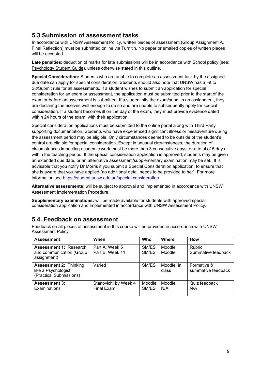### **5.3 Submission of assessment tasks**

In accordance with UNSW Assessment Policy, written pieces of assessment (Group Assignment A, Final Reflection) must be submitted online via Turnitin. No paper or emailed copies of written pieces will be accepted.

**Late penalties**: deduction of marks for late submissions will be in accordance with School policy (see: Psychology Student Guide), unless otherwise stated in this outline.

**Special Consideration:** Students who are unable to complete an assessment task by the assigned due date can apply for special consideration. Students should also note that UNSW has a Fit to Sit/Submit rule for all assessments. If a student wishes to submit an application for special consideration for an exam or assessment, the application must be submitted prior to the start of the exam or before an assessment is submitted. If a student sits the exam/submits an assignment, they are declaring themselves well enough to do so and are unable to subsequently apply for special consideration. If a student becomes ill on the day of the exam, they must provide evidence dated within 24 hours of the exam, with their application.

Special consideration applications must be submitted to the online portal along with Third Party supporting documentation. Students who have experienced significant illness or misadventure during the assessment period may be eligible. Only circumstances deemed to be outside of the student's control are eligible for special consideration. Except in unusual circumstances, the duration of circumstances impacting academic work must be more than 3 consecutive days, or a total of 5 days within the teaching period. If the special consideration application is approved, students may be given an extended due date, or an alternative assessment/supplementary examination may be set. It is advisable that you notify Dr Morris if you submit a Special Consideration application, to ensure that she is aware that you have applied (no additional detail needs to be provided to her). For more information see https://student.unsw.edu.au/special-consideration.

**Alternative assessments**: will be subject to approval and implemented in accordance with UNSW Assessment Implementation Procedure.

**Supplementary examinations:** will be made available for students with approved special consideration application and implemented in accordance with UNSW Assessment Policy.

### **5.4. Feedback on assessment**

Feedback on all pieces of assessment in this course will be provided in accordance with UNSW Assessment Policy.

| <b>Assessment</b>                                                               | When                               | <b>Who</b>      | Where               | <b>How</b>                          |
|---------------------------------------------------------------------------------|------------------------------------|-----------------|---------------------|-------------------------------------|
| <b>Assessment 1: Research</b><br>and communication (Group<br>assignment)        | Part A: Week 5<br>Part B: Week 11  | SM/ES<br>SM/ES  | Moodle<br>Moodle    | <b>Rubric</b><br>Summative feedback |
| <b>Assessment 2: Thinking</b><br>like a Psychologist<br>(Practical Submissions) | Varied                             | SM/ES           | Moodle, in<br>class | Formative &<br>summative feedback   |
| <b>Assessment 3:</b><br>Examinations                                            | Stanovich: by Week 4<br>Final Exam | Moodle<br>SM/ES | Moodle<br>N/A       | Quiz feedback<br>N/A                |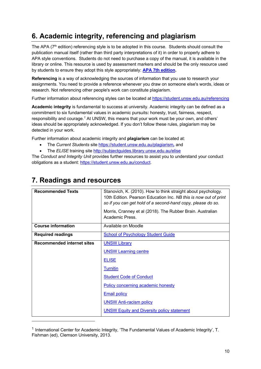# **6. Academic integrity, referencing and plagiarism**

The APA (7<sup>th</sup> edition) referencing style is to be adopted in this course. Students should consult the publication manual itself (rather than third party interpretations of it) in order to properly adhere to APA style conventions. Students do not need to purchase a copy of the manual, it is available in the library or online. This resource is used by assessment markers and should be the only resource used by students to ensure they adopt this style appropriately: **APA 7th edition.**

**Referencing** is a way of acknowledging the sources of information that you use to research your assignments. You need to provide a reference whenever you draw on someone else's words, ideas or research. Not referencing other people's work can constitute plagiarism.

Further information about referencing styles can be located at https://student.unsw.edu.au/referencing

**Academic integrity** is fundamental to success at university. Academic integrity can be defined as a commitment to six fundamental values in academic pursuits**:** honesty, trust, fairness, respect, responsibility and courage.*<sup>1</sup>* At UNSW, this means that your work must be your own, and others' ideas should be appropriately acknowledged. If you don't follow these rules, plagiarism may be detected in your work.

Further information about academic integrity and **plagiarism** can be located at:

- The *Current Students* site https://student.unsw.edu.au/plagiarism*,* and
- The **ELISE** training site http://subjectguides.library.unsw.edu.au/elise

The *Conduct and Integrity Unit* provides further resources to assist you to understand your conduct obligations as a student: https://student.unsw.edu.au/conduct.

| <b>Recommended Texts</b>          | Stanovich, K. (2010). How to think straight about psychology.    |  |  |
|-----------------------------------|------------------------------------------------------------------|--|--|
|                                   | 10th Edition. Pearson Education Inc. NB this is now out of print |  |  |
|                                   |                                                                  |  |  |
|                                   | so if you can get hold of a second-hand copy, please do so.      |  |  |
|                                   | Morris, Cranney et al (2018). The Rubber Brain. Australian       |  |  |
|                                   | Academic Press.                                                  |  |  |
|                                   |                                                                  |  |  |
| <b>Course information</b>         | Available on Moodle                                              |  |  |
|                                   |                                                                  |  |  |
| <b>Required readings</b>          | <b>School of Psychology Student Guide</b>                        |  |  |
| <b>Recommended internet sites</b> | <b>UNSW Library</b>                                              |  |  |
|                                   |                                                                  |  |  |
|                                   | <b>UNSW Learning centre</b>                                      |  |  |
|                                   |                                                                  |  |  |
|                                   | <b>ELISE</b>                                                     |  |  |
|                                   | <b>Turnitin</b>                                                  |  |  |
|                                   |                                                                  |  |  |
|                                   | <b>Student Code of Conduct</b>                                   |  |  |
|                                   | Policy concerning academic honesty                               |  |  |
|                                   | <b>Email policy</b>                                              |  |  |
|                                   | <b>UNSW Anti-racism policy</b>                                   |  |  |
|                                   | <b>UNSW Equity and Diversity policy statement</b>                |  |  |

## **7. Readings and resources**

<sup>&</sup>lt;sup>1</sup> International Center for Academic Integrity, 'The Fundamental Values of Academic Integrity', T. Fishman (ed), Clemson University, 2013.